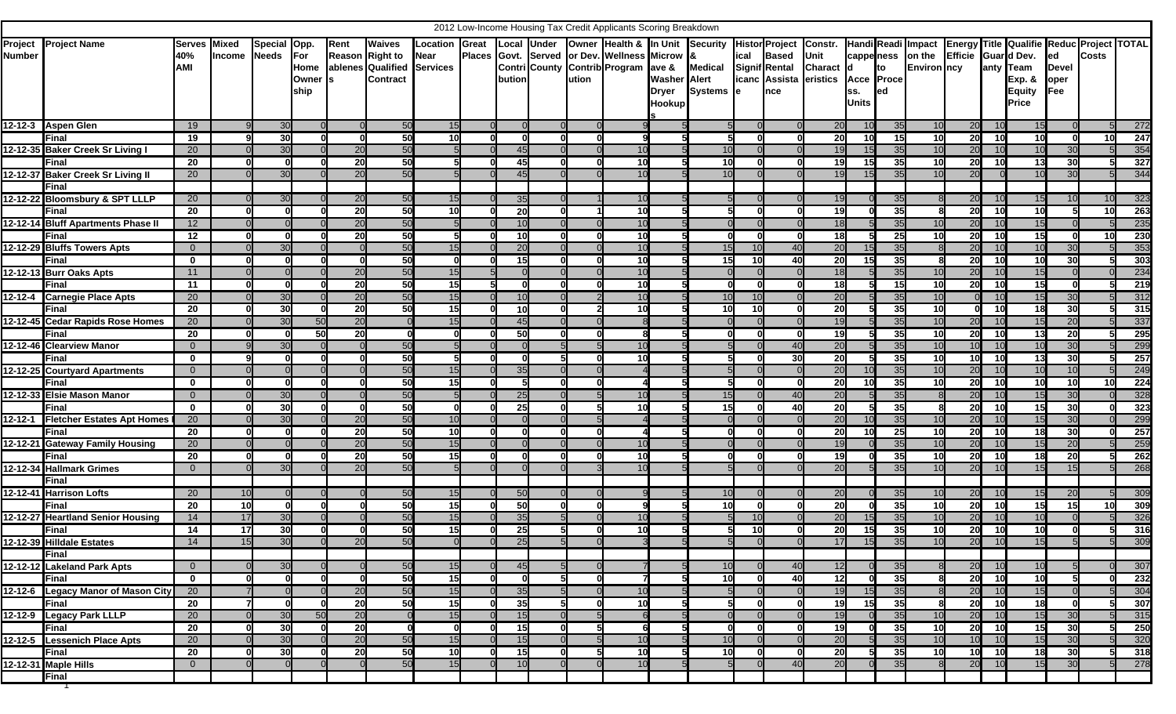| 2012 Low-Income Housing Tax Credit Applicants Scoring Breakdown<br><b>Energy Title Qualifie Reduc Project TOTAL</b><br>Histor Project Constr.<br><b>Owner Health &amp; In Unit Security</b><br><b>Local Under</b><br>Handi Readi Impact |                                          |                                    |                       |              |                      |          |                                                                                        |                        |  |                 |  |       |                                                                                      |                                               |                             |                |                                                     |                                             |                                   |                 |                                        |                     |           |                                                          |                                           |                 |            |
|-----------------------------------------------------------------------------------------------------------------------------------------------------------------------------------------------------------------------------------------|------------------------------------------|------------------------------------|-----------------------|--------------|----------------------|----------|----------------------------------------------------------------------------------------|------------------------|--|-----------------|--|-------|--------------------------------------------------------------------------------------|-----------------------------------------------|-----------------------------|----------------|-----------------------------------------------------|---------------------------------------------|-----------------------------------|-----------------|----------------------------------------|---------------------|-----------|----------------------------------------------------------|-------------------------------------------|-----------------|------------|
| Number                                                                                                                                                                                                                                  | <b>Project</b> Project Name              | <b>Serves</b><br>40%<br><b>AMI</b> | Mixed<br>Income Needs | Special Opp. | For<br>Owner<br>ship | Rent     | <b>Waives</b><br>Reason Right to<br>Home ablenes Qualified Services<br><b>Contract</b> | Location Great<br>Near |  | bution          |  | ution | Places Govt. Served or Dev. Wellness Microw &<br>Contri County Contrib Program ave & | <b>Washer</b> Alert<br>Dryer<br><b>Hookup</b> | <b>Medical</b><br>Systems e | ical           | <b>Based</b><br><b>Signif Rental</b><br><b>Ince</b> | Unit<br>Charact d<br>icanc Assista eristics | Acce Proce<br>SS.<br><b>Units</b> | Ito<br>led      | cappeness on the<br><b>Environ</b> ncy | Efficie Guar d Dev. |           | anty Team<br><b>Exp. &amp;</b><br><b>Equity</b><br>Price | led<br><b>Devel</b><br>oper<br><b>Fee</b> | <b>Costs</b>    |            |
|                                                                                                                                                                                                                                         | 12-12-3 Aspen Glen                       | 19                                 |                       | 30           |                      |          | 50                                                                                     | 15                     |  |                 |  |       |                                                                                      |                                               |                             |                |                                                     | 20                                          |                                   | 35              | 10                                     | 20                  | -10       | 15                                                       |                                           |                 | 272        |
|                                                                                                                                                                                                                                         | Final                                    | 19                                 |                       | 30           |                      | 0        | 50                                                                                     | 10 <sup>l</sup>        |  |                 |  |       | q                                                                                    |                                               |                             | ΩI             |                                                     | <b>20</b>                                   | 10I                               | $\overline{15}$ | 10                                     | 20                  | 10        | 10                                                       |                                           | 10              | 247        |
|                                                                                                                                                                                                                                         | 12-12-35 Baker Creek Sr Living I         | 20                                 |                       | 30           |                      | 20       | 50                                                                                     |                        |  | 45              |  |       | 10                                                                                   |                                               | 10                          |                |                                                     | 19                                          | 15                                | 35              | 10                                     | 20                  |           | 10                                                       | 30                                        |                 | 354        |
|                                                                                                                                                                                                                                         | Final                                    | $\overline{20}$                    |                       | 0            |                      | 20       | 50                                                                                     |                        |  | 45              |  |       | 10                                                                                   |                                               | 10                          |                |                                                     | 19                                          | 15                                | 35              | 10                                     | 20                  |           | 13                                                       | 30                                        |                 | 327        |
|                                                                                                                                                                                                                                         | 12-12-37 Baker Creek Sr Living II        | 20                                 |                       | 30           |                      | 20       | 50                                                                                     |                        |  | 45              |  |       | 10                                                                                   |                                               | 10                          |                |                                                     | 19                                          |                                   | 35              |                                        | 20                  |           | 10                                                       | 30                                        |                 | 344        |
|                                                                                                                                                                                                                                         | Final                                    |                                    |                       |              |                      |          |                                                                                        |                        |  |                 |  |       |                                                                                      |                                               |                             |                |                                                     |                                             |                                   |                 |                                        |                     |           |                                                          |                                           |                 |            |
|                                                                                                                                                                                                                                         | 12-12-22 Bloomsbury & SPT LLLP           | 20                                 |                       | 30           |                      | 20       | 50                                                                                     | 15                     |  | 35              |  |       | 10                                                                                   |                                               |                             |                |                                                     | 19                                          |                                   | 35              |                                        | 20                  |           | 15                                                       |                                           |                 | 323        |
|                                                                                                                                                                                                                                         | Final                                    | 20                                 |                       |              |                      | 20       | 50                                                                                     | 10 <sub>l</sub>        |  | 20              |  |       | 10                                                                                   |                                               |                             |                |                                                     | 19                                          |                                   | 35              |                                        | 20                  | -10       | 10                                                       |                                           | 10              | 263        |
|                                                                                                                                                                                                                                         | 12-12-14 Bluff Apartments Phase II       | 12                                 |                       |              |                      | 20       | 50                                                                                     |                        |  | 10              |  |       | 10                                                                                   |                                               |                             |                |                                                     | 18                                          |                                   | 35              |                                        | 20                  |           | 15                                                       |                                           |                 | 235        |
|                                                                                                                                                                                                                                         | Final                                    | $\overline{12}$                    |                       | ΩI           |                      | 20       | 50                                                                                     | 5                      |  | 10              |  |       | 10                                                                                   |                                               |                             | $\Omega$       |                                                     | 18                                          |                                   | 25              | -10                                    | 20                  |           | 15                                                       |                                           | 10              | 230        |
|                                                                                                                                                                                                                                         | 12-12-29 Bluffs Towers Apts              | $\overline{0}$                     |                       | 30           |                      |          | 50                                                                                     | 15                     |  | 20              |  |       | 10                                                                                   |                                               | 15                          | 10             | 40                                                  | 20                                          |                                   | 35              |                                        | 20                  |           | 10                                                       | 30                                        |                 | 353        |
|                                                                                                                                                                                                                                         | Final                                    | $\mathbf 0$                        |                       |              |                      | വ        | 50                                                                                     | 0                      |  | 15              |  |       | 10                                                                                   |                                               | 15                          | 10             | 40                                                  | 20                                          | 15I                               | 35              |                                        | 20                  |           | 10                                                       | 30                                        |                 | 303        |
|                                                                                                                                                                                                                                         | 12-12-13 Burr Oaks Apts                  | 11                                 |                       |              |                      | 20       | 50                                                                                     | 15                     |  |                 |  |       | 10                                                                                   |                                               |                             |                |                                                     | 18                                          |                                   | 35              |                                        | 20                  |           | 15                                                       |                                           |                 | 234        |
|                                                                                                                                                                                                                                         | Final                                    | $\overline{11}$                    |                       | $\Omega$     |                      | 20       | 50                                                                                     | 15                     |  |                 |  |       | 10                                                                                   |                                               |                             | ΩI             |                                                     | 18                                          |                                   | 15              | 10                                     | 20                  | <b>10</b> | 15                                                       |                                           | 51              | 219        |
|                                                                                                                                                                                                                                         | 12-12-4 Carnegie Place Apts              | 20                                 |                       | 30           |                      | 20       | 50                                                                                     | 15                     |  | 10              |  |       | 10                                                                                   |                                               | 10                          | 10             |                                                     | 20                                          |                                   | 35              |                                        |                     |           | 15                                                       | 30                                        |                 | 312        |
|                                                                                                                                                                                                                                         | Final                                    | 20                                 |                       | 30           |                      | 20       | 50                                                                                     | 15                     |  | 10              |  |       | 10                                                                                   |                                               | 10                          | 10             |                                                     | 20                                          |                                   | 35              | 10                                     |                     | 10        | 18                                                       | 30                                        |                 | 315        |
|                                                                                                                                                                                                                                         | 12-12-45 Cedar Rapids Rose Homes         | 20                                 |                       | 30           | 50                   | 20       |                                                                                        | 15                     |  | 45              |  |       |                                                                                      |                                               |                             |                |                                                     | 19                                          |                                   | 35              |                                        | 20                  |           | 15                                                       | 20                                        |                 | 337        |
|                                                                                                                                                                                                                                         | Final                                    | $\overline{20}$                    |                       | n            | 50                   | 20       | $\Omega$                                                                               |                        |  | $\overline{50}$ |  |       |                                                                                      |                                               |                             | $\Omega$       |                                                     | 19                                          |                                   | 35              | 10                                     | 20                  | <b>10</b> | 13                                                       | 20                                        | 5               | 295        |
|                                                                                                                                                                                                                                         | 12-12-46 Clearview Manor                 | $\overline{0}$                     |                       | 30           |                      |          | 50                                                                                     |                        |  |                 |  |       |                                                                                      |                                               |                             |                | 40                                                  | 20                                          |                                   | 35              |                                        | 10                  |           | 10                                                       | 30                                        |                 | 299        |
|                                                                                                                                                                                                                                         | Final                                    | $\mathbf 0$                        |                       |              |                      |          | 50                                                                                     |                        |  |                 |  |       | 10                                                                                   |                                               |                             |                | 30                                                  | 20                                          |                                   | 35              | 10                                     | 10                  |           | 13                                                       | 30                                        |                 | 257        |
|                                                                                                                                                                                                                                         | 12-12-25 Courtyard Apartments            | $\overline{0}$                     |                       |              |                      |          | 50                                                                                     | 15                     |  | 35              |  |       |                                                                                      |                                               |                             |                |                                                     | 20                                          |                                   | 35              |                                        | 20                  |           | 10                                                       | 10                                        |                 | 249        |
|                                                                                                                                                                                                                                         | Final                                    | $\mathbf 0$                        |                       | <sup>0</sup> |                      |          | 50                                                                                     | 15 <sub>l</sub>        |  |                 |  |       |                                                                                      |                                               |                             | n              |                                                     | <b>20</b>                                   | 10I                               | 35              | -10                                    | 20                  | <b>10</b> | 10 <sup>1</sup>                                          | 10                                        | 10              | 224        |
|                                                                                                                                                                                                                                         | 12-12-33 Elsie Mason Manor               | $\overline{0}$                     |                       | 30           |                      |          | 50                                                                                     |                        |  | 25              |  |       | 10                                                                                   |                                               | 15                          |                | 40                                                  | 20                                          |                                   | 35              |                                        | 20                  |           | 15                                                       | 30                                        |                 | 328        |
|                                                                                                                                                                                                                                         | Final                                    | $\mathbf 0$                        |                       | 30           |                      | - 0      | 50                                                                                     | 0                      |  | 25              |  |       | 10                                                                                   |                                               | 15                          |                | 40                                                  | 20                                          |                                   | 35              |                                        | 20                  | 10        | 15                                                       | 30                                        |                 | 323        |
|                                                                                                                                                                                                                                         | 12-12-1 Fletcher Estates Apt Homes       | 20<br>$\overline{20}$              |                       | 30<br>n      |                      | 20<br>20 | 50<br>50                                                                               | 10<br>10               |  |                 |  |       |                                                                                      |                                               |                             | n              |                                                     | 20<br><b>20</b>                             | 10I                               | 35<br>25        | <b>10</b>                              | 20<br>20            | <b>10</b> | 15<br>18                                                 | 30<br>30                                  |                 | 299<br>257 |
|                                                                                                                                                                                                                                         | Final<br>12-12-21 Gateway Family Housing | 20                                 |                       |              |                      | 20       | 50                                                                                     | 15                     |  |                 |  |       | 10                                                                                   |                                               |                             |                |                                                     | 19                                          |                                   | 35              |                                        | 20                  |           | 15                                                       | 20                                        |                 | 259        |
|                                                                                                                                                                                                                                         | Final                                    | 20                                 |                       |              |                      | 20       | 50                                                                                     | 15                     |  |                 |  |       | 10                                                                                   |                                               |                             |                |                                                     | 19                                          |                                   | 35              | 10                                     | 20                  |           | 18                                                       | 20                                        |                 | 262        |
|                                                                                                                                                                                                                                         | 12-12-34 Hallmark Grimes                 | $\overline{0}$                     |                       | 30           |                      | 20       | 50                                                                                     |                        |  |                 |  |       | 10                                                                                   |                                               |                             |                |                                                     | 20                                          |                                   | 35              |                                        | 20                  |           | 15                                                       | 15                                        |                 | 268        |
|                                                                                                                                                                                                                                         | Final                                    |                                    |                       |              |                      |          |                                                                                        |                        |  |                 |  |       |                                                                                      |                                               |                             |                |                                                     |                                             |                                   |                 |                                        |                     |           |                                                          |                                           |                 |            |
|                                                                                                                                                                                                                                         | 12-12-41 Harrison Lofts                  | 20                                 | 10                    |              |                      |          | 50                                                                                     | 15                     |  | 50              |  |       |                                                                                      |                                               | 10                          |                |                                                     | 20                                          |                                   | 35              |                                        | 20                  |           | 15                                                       | 20                                        |                 | 309        |
|                                                                                                                                                                                                                                         | Final                                    | 20                                 | 10                    | $\mathbf{0}$ |                      |          | 50                                                                                     | 15                     |  | 50              |  |       |                                                                                      |                                               | 10                          | $\Omega$       |                                                     | 20                                          |                                   | 35              | -10                                    | 20                  | -10       | 15                                                       | 15                                        | 10              | 309        |
|                                                                                                                                                                                                                                         | 12-12-27 Heartland Senior Housing        | 14                                 | 17                    | 30           |                      |          | 50                                                                                     | 15                     |  | 35              |  |       |                                                                                      |                                               |                             |                |                                                     | 20                                          |                                   | 35              |                                        | 20                  |           | 10                                                       |                                           |                 | 326        |
|                                                                                                                                                                                                                                         | Final                                    | $\overline{14}$                    | 17                    | 30           |                      |          | 50                                                                                     | 15                     |  | 25              |  |       | 10                                                                                   |                                               |                             | 10             |                                                     | 20                                          | 15                                | 35              | 10                                     | 20                  | 10        | 10                                                       |                                           | 5               | 316        |
|                                                                                                                                                                                                                                         | 12-12-39 Hilldale Estates                | 14                                 | 15                    | 30           |                      | 20       | 50                                                                                     | $\Omega$               |  | 25              |  |       | $\mathbf{R}$                                                                         | 5 <sup>l</sup>                                | 51                          | $\Omega$       |                                                     | 17                                          | 15                                | 35              | 10                                     | 20                  | 10        | 15                                                       | $5\overline{5}$                           | $5 \frac{1}{2}$ | 309        |
|                                                                                                                                                                                                                                         | Final                                    |                                    |                       |              |                      |          |                                                                                        |                        |  |                 |  |       |                                                                                      |                                               |                             |                |                                                     |                                             |                                   |                 |                                        |                     |           |                                                          |                                           |                 |            |
|                                                                                                                                                                                                                                         | 12-12-12 Lakeland Park Apts              | $\overline{0}$                     |                       | 30           |                      |          | 50                                                                                     | 15                     |  | 45              |  |       |                                                                                      |                                               | 10                          |                | 40                                                  | 12                                          |                                   | 35              |                                        | 20                  |           | 10                                                       |                                           |                 | 307        |
|                                                                                                                                                                                                                                         | Final                                    | $\mathbf{0}$                       |                       | $\Omega$     |                      | 0        | 50                                                                                     | 15                     |  |                 |  |       | 7                                                                                    |                                               | 10                          | 0              | 40                                                  | 12                                          |                                   | 35              |                                        | 20                  | 10        | 10                                                       |                                           | 01              | 232        |
|                                                                                                                                                                                                                                         | 12-12-6 Legacy Manor of Mason City       | 20                                 |                       |              |                      | 20       | 50                                                                                     | 15                     |  | 35              |  |       | 10                                                                                   |                                               | 5                           | $\overline{0}$ |                                                     | 19                                          | 15                                | 35              |                                        | 20                  |           | 15                                                       |                                           |                 | 304        |
|                                                                                                                                                                                                                                         | Final                                    | 20                                 |                       | 0I           |                      | 20       | 50                                                                                     | 15                     |  | 35              |  |       | 10                                                                                   | 51                                            | 51                          | 0l             | 0l                                                  | 19                                          | 15                                | 35              |                                        | 20                  | 10        | 18                                                       |                                           |                 | 307        |
|                                                                                                                                                                                                                                         | 12-12-9 Legacy Park LLLP                 | 20                                 |                       | 30           | 50                   | 20       |                                                                                        | 15                     |  | 15              |  |       |                                                                                      |                                               |                             |                |                                                     | 19                                          |                                   | 35              |                                        | 20                  |           | 15                                                       | 30                                        |                 | 315        |
|                                                                                                                                                                                                                                         | Final                                    | 20                                 |                       | 30           |                      | 20       | 0l                                                                                     | 0                      |  | $\overline{15}$ |  |       | 6                                                                                    | 5                                             | ŋ                           | 0l             | - 0                                                 | 19                                          |                                   | 35              | 10                                     | 20                  | 10        | 15                                                       | 30                                        | 5               | 250        |
|                                                                                                                                                                                                                                         | 12-12-5 Lessenich Place Apts             | 20                                 |                       | 30           |                      | 20       | 50                                                                                     | 15                     |  | 15              |  |       | 10                                                                                   |                                               | 10                          | $\Omega$       |                                                     | 20                                          |                                   | 35              | 10                                     | 10                  |           | 15                                                       | 30                                        |                 | 320        |
|                                                                                                                                                                                                                                         | Final                                    | 20                                 |                       | 30           |                      | 20       | 50                                                                                     | 10                     |  | 15              |  |       | 10                                                                                   |                                               | 10                          | 01             | 0                                                   | 20                                          |                                   | 35              | 10I                                    | 10                  | 10        | 18                                                       | 30                                        | 5               | 318        |
|                                                                                                                                                                                                                                         | 12-12-31 Maple Hills                     | $\overline{0}$                     |                       |              |                      |          | 50                                                                                     | 15                     |  | 10              |  |       | 10                                                                                   |                                               |                             |                | 40                                                  | 20                                          |                                   | 35              |                                        | 20                  |           | 15                                                       | 30                                        |                 | 278        |
|                                                                                                                                                                                                                                         | <b>Final</b>                             |                                    |                       |              |                      |          |                                                                                        |                        |  |                 |  |       |                                                                                      |                                               |                             |                |                                                     |                                             |                                   |                 |                                        |                     |           |                                                          |                                           |                 |            |